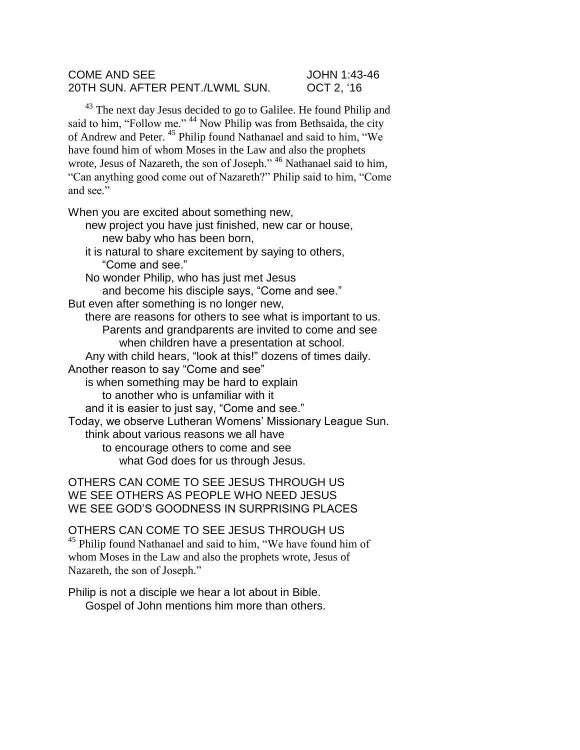## COME AND SEE JOHN 1:43-46 20TH SUN. AFTER PENT./LWML SUN. OCT 2, '16

<sup>43</sup> The next day Jesus decided to go to Galilee. He found Philip and said to him, "Follow me." <sup>44</sup> Now Philip was from Bethsaida, the city of Andrew and Peter. <sup>45</sup> Philip found Nathanael and said to him, "We have found him of whom Moses in the Law and also the prophets wrote, Jesus of Nazareth, the son of Joseph."<sup>46</sup> Nathanael said to him, "Can anything good come out of Nazareth?" Philip said to him, "Come and see."

When you are excited about something new,

new project you have just finished, new car or house, new baby who has been born,

it is natural to share excitement by saying to others, "Come and see."

No wonder Philip, who has just met Jesus and become his disciple says, "Come and see." But even after something is no longer new,

there are reasons for others to see what is important to us. Parents and grandparents are invited to come and see when children have a presentation at school.

Any with child hears, "look at this!" dozens of times daily.

Another reason to say "Come and see"

is when something may be hard to explain

to another who is unfamiliar with it

and it is easier to just say, "Come and see."

Today, we observe Lutheran Womens' Missionary League Sun.

think about various reasons we all have to encourage others to come and see

what God does for us through Jesus.

OTHERS CAN COME TO SEE JESUS THROUGH US WE SEE OTHERS AS PEOPLE WHO NEED JESUS WE SEE GOD'S GOODNESS IN SURPRISING PLACES

OTHERS CAN COME TO SEE JESUS THROUGH US <sup>45</sup> Philip found Nathanael and said to him, "We have found him of whom Moses in the Law and also the prophets wrote, Jesus of Nazareth, the son of Joseph."

Philip is not a disciple we hear a lot about in Bible. Gospel of John mentions him more than others.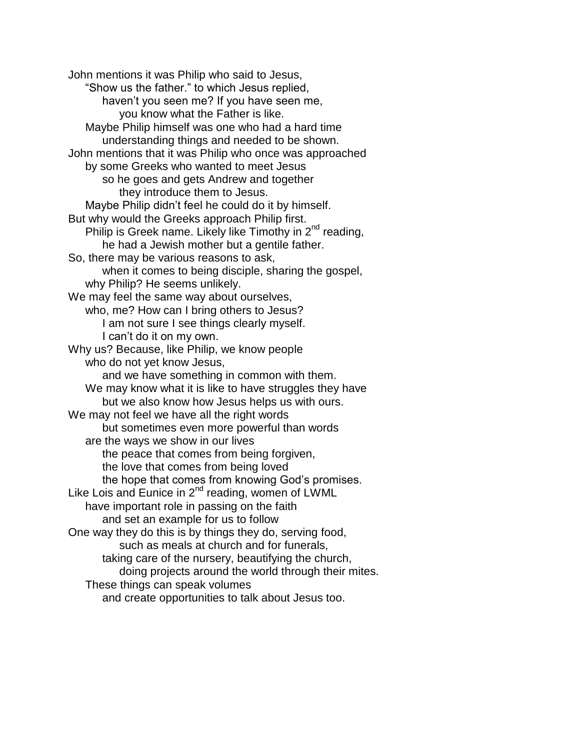John mentions it was Philip who said to Jesus, "Show us the father." to which Jesus replied, haven't you seen me? If you have seen me, you know what the Father is like. Maybe Philip himself was one who had a hard time understanding things and needed to be shown. John mentions that it was Philip who once was approached by some Greeks who wanted to meet Jesus so he goes and gets Andrew and together they introduce them to Jesus. Maybe Philip didn't feel he could do it by himself. But why would the Greeks approach Philip first. Philip is Greek name. Likely like Timothy in  $2^{nd}$  reading, he had a Jewish mother but a gentile father. So, there may be various reasons to ask, when it comes to being disciple, sharing the gospel, why Philip? He seems unlikely. We may feel the same way about ourselves, who, me? How can I bring others to Jesus? I am not sure I see things clearly myself. I can't do it on my own. Why us? Because, like Philip, we know people who do not yet know Jesus, and we have something in common with them. We may know what it is like to have struggles they have but we also know how Jesus helps us with ours. We may not feel we have all the right words but sometimes even more powerful than words are the ways we show in our lives the peace that comes from being forgiven, the love that comes from being loved the hope that comes from knowing God's promises. Like Lois and Eunice in 2<sup>nd</sup> reading, women of LWML have important role in passing on the faith and set an example for us to follow One way they do this is by things they do, serving food, such as meals at church and for funerals, taking care of the nursery, beautifying the church, doing projects around the world through their mites. These things can speak volumes and create opportunities to talk about Jesus too.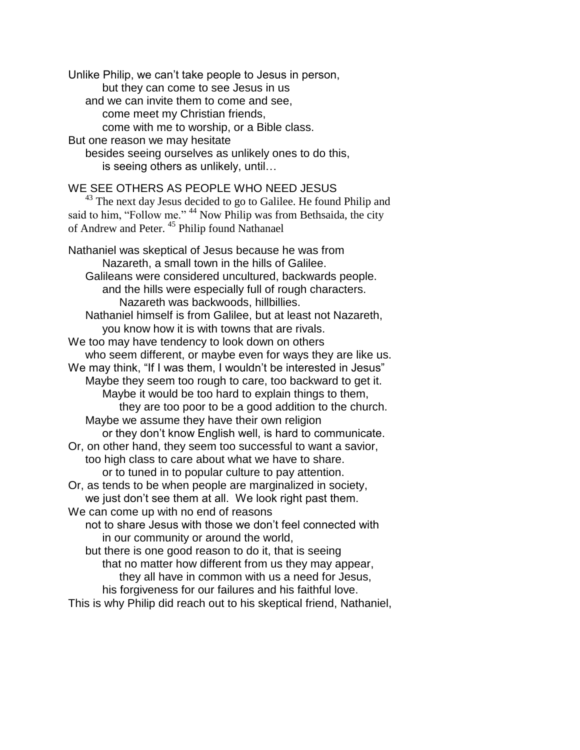Unlike Philip, we can't take people to Jesus in person, but they can come to see Jesus in us and we can invite them to come and see, come meet my Christian friends, come with me to worship, or a Bible class. But one reason we may hesitate besides seeing ourselves as unlikely ones to do this, is seeing others as unlikely, until… WE SEE OTHERS AS PEOPLE WHO NEED JESUS  $43$  The next day Jesus decided to go to Galilee. He found Philip and said to him, "Follow me." <sup>44</sup> Now Philip was from Bethsaida, the city of Andrew and Peter. <sup>45</sup> Philip found Nathanael Nathaniel was skeptical of Jesus because he was from Nazareth, a small town in the hills of Galilee. Galileans were considered uncultured, backwards people. and the hills were especially full of rough characters. Nazareth was backwoods, hillbillies. Nathaniel himself is from Galilee, but at least not Nazareth, you know how it is with towns that are rivals. We too may have tendency to look down on others who seem different, or maybe even for ways they are like us. We may think, "If I was them, I wouldn't be interested in Jesus" Maybe they seem too rough to care, too backward to get it. Maybe it would be too hard to explain things to them, they are too poor to be a good addition to the church. Maybe we assume they have their own religion or they don't know English well, is hard to communicate. Or, on other hand, they seem too successful to want a savior, too high class to care about what we have to share. or to tuned in to popular culture to pay attention. Or, as tends to be when people are marginalized in society, we just don't see them at all. We look right past them. We can come up with no end of reasons not to share Jesus with those we don't feel connected with in our community or around the world, but there is one good reason to do it, that is seeing that no matter how different from us they may appear, they all have in common with us a need for Jesus, his forgiveness for our failures and his faithful love. This is why Philip did reach out to his skeptical friend, Nathaniel,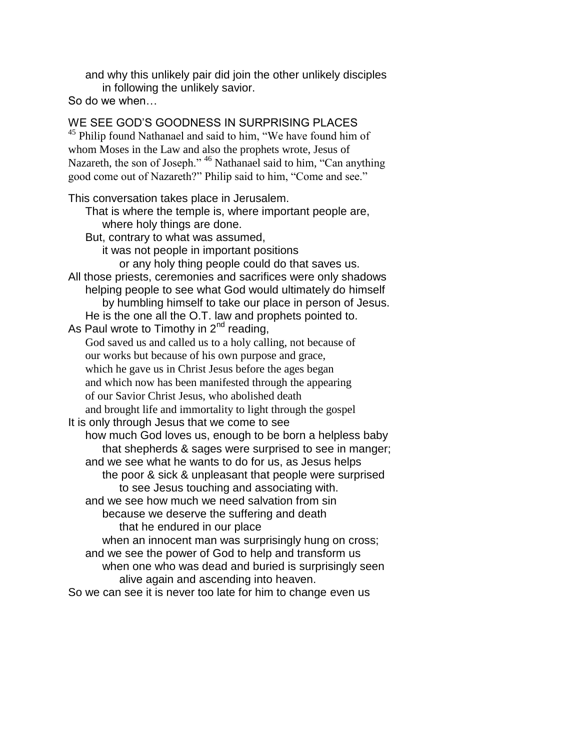and why this unlikely pair did join the other unlikely disciples in following the unlikely savior.

So do we when…

WE SEE GOD'S GOODNESS IN SURPRISING PLACES <sup>45</sup> Philip found Nathanael and said to him, "We have found him of whom Moses in the Law and also the prophets wrote, Jesus of Nazareth, the son of Joseph." <sup>46</sup> Nathanael said to him, "Can anything good come out of Nazareth?" Philip said to him, "Come and see." This conversation takes place in Jerusalem. That is where the temple is, where important people are, where holy things are done. But, contrary to what was assumed, it was not people in important positions or any holy thing people could do that saves us. All those priests, ceremonies and sacrifices were only shadows helping people to see what God would ultimately do himself by humbling himself to take our place in person of Jesus. He is the one all the O.T. law and prophets pointed to. As Paul wrote to Timothy in  $2^{nd}$  reading, God saved us and called us to a holy calling, not because of our works but because of his own purpose and grace, which he gave us in Christ Jesus before the ages began and which now has been manifested through the appearing of our Savior Christ Jesus, who abolished death and brought life and immortality to light through the gospel It is only through Jesus that we come to see how much God loves us, enough to be born a helpless baby that shepherds & sages were surprised to see in manger; and we see what he wants to do for us, as Jesus helps the poor & sick & unpleasant that people were surprised to see Jesus touching and associating with. and we see how much we need salvation from sin because we deserve the suffering and death that he endured in our place when an innocent man was surprisingly hung on cross; and we see the power of God to help and transform us when one who was dead and buried is surprisingly seen alive again and ascending into heaven. So we can see it is never too late for him to change even us